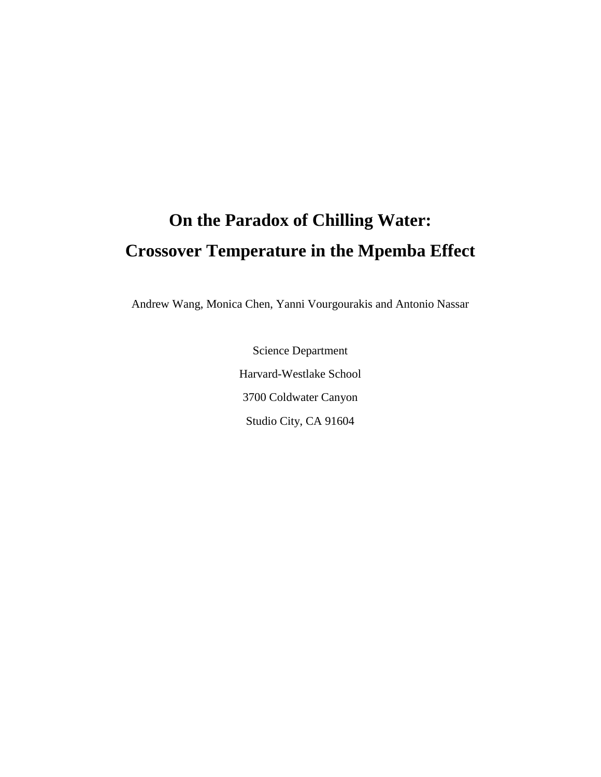# **On the Paradox of Chilling Water: Crossover Temperature in the Mpemba Effect**

Andrew Wang, Monica Chen, Yanni Vourgourakis and Antonio Nassar

Science Department Harvard-Westlake School 3700 Coldwater Canyon Studio City, CA 91604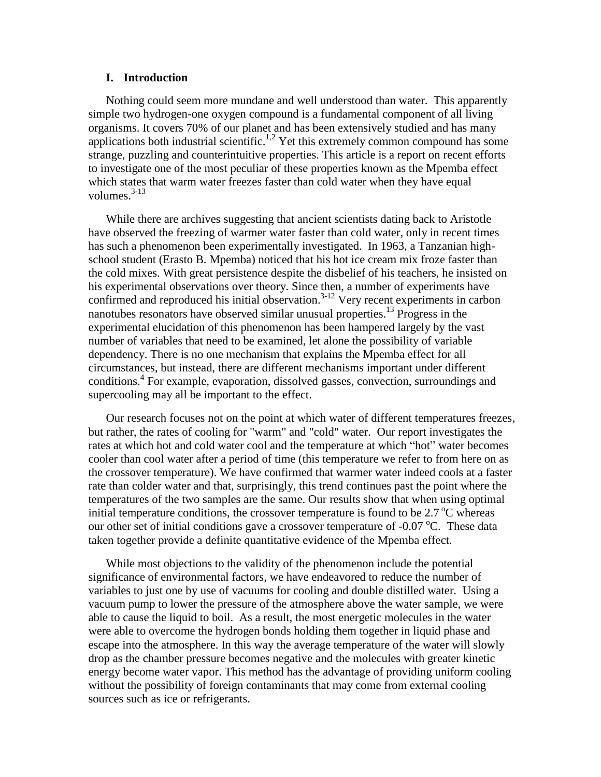#### **I. Introduction**

Nothing could seem more mundane and well understood than water. This apparently simple two hydrogen-one oxygen compound is a fundamental component of all living organisms. It covers 70% of our planet and has been extensively studied and has many applications both industrial scientific.<sup>1,2</sup> Yet this extremely common compound has some strange, puzzling and counterintuitive properties. This article is a report on recent efforts to investigate one of the most peculiar of these properties known as the Mpemba effect which states that warm water freezes faster than cold water when they have equal volumes. $3-13$ 

While there are archives suggesting that ancient scientists dating back to Aristotle have observed the freezing of warmer water faster than cold water, only in recent times has such a phenomenon been experimentally investigated. In 1963, a Tanzanian highschool student (Erasto B. Mpemba) noticed that his hot ice cream mix froze faster than the cold mixes. With great persistence despite the disbelief of his teachers, he insisted on his experimental observations over theory. Since then, a number of experiments have confirmed and reproduced his initial observation.<sup>3-12</sup> Very recent experiments in carbon nanotubes resonators have observed similar unusual properties.<sup>13</sup> Progress in the experimental elucidation of this phenomenon has been hampered largely by the vast number of variables that need to be examined, let alone the possibility of variable dependency. There is no one mechanism that explains the Mpemba effect for all circumstances, but instead, there are different mechanisms important under different conditions.<sup>4</sup> For example, evaporation, dissolved gasses, convection, surroundings and supercooling may all be important to the effect.

Our research focuses not on the point at which water of different temperatures freezes, but rather, the rates of cooling for "warm" and "cold" water. Our report investigates the rates at which hot and cold water cool and the temperature at which "hot" water becomes cooler than cool water after a period of time (this temperature we refer to from here on as the crossover temperature). We have confirmed that warmer water indeed cools at a faster rate than colder water and that, surprisingly, this trend continues past the point where the temperatures of the two samples are the same. Our results show that when using optimal initial temperature conditions, the crossover temperature is found to be  $2.7\,^{\circ}\text{C}$  whereas our other set of initial conditions gave a crossover temperature of  $-0.07$  °C. These data taken together provide a definite quantitative evidence of the Mpemba effect.

While most objections to the validity of the phenomenon include the potential significance of environmental factors, we have endeavored to reduce the number of variables to just one by use of vacuums for cooling and double distilled water. Using a vacuum pump to lower the pressure of the atmosphere above the water sample, we were able to cause the liquid to boil. As a result, the most energetic molecules in the water were able to overcome the hydrogen bonds holding them together in liquid phase and escape into the atmosphere. In this way the average temperature of the water will slowly drop as the chamber pressure becomes negative and the molecules with greater kinetic energy become water vapor. This method has the advantage of providing uniform cooling without the possibility of foreign contaminants that may come from external cooling sources such as ice or refrigerants.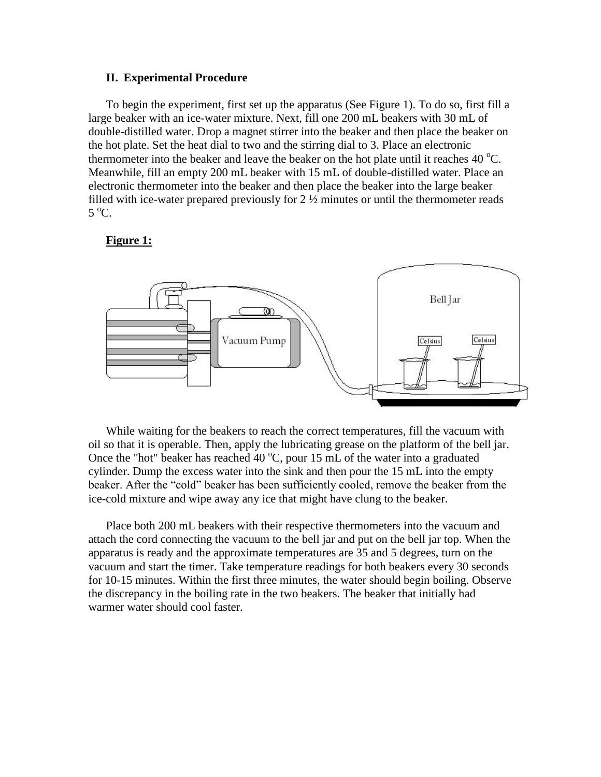#### **II. Experimental Procedure**

To begin the experiment, first set up the apparatus (See Figure 1). To do so, first fill a large beaker with an ice-water mixture. Next, fill one 200 mL beakers with 30 mL of double-distilled water. Drop a magnet stirrer into the beaker and then place the beaker on the hot plate. Set the heat dial to two and the stirring dial to 3. Place an electronic thermometer into the beaker and leave the beaker on the hot plate until it reaches 40  $^{\circ}$ C. Meanwhile, fill an empty 200 mL beaker with 15 mL of double-distilled water. Place an electronic thermometer into the beaker and then place the beaker into the large beaker filled with ice-water prepared previously for  $2 \frac{1}{2}$  minutes or until the thermometer reads  $5^{\circ}$ C.

#### **Figure 1:**



While waiting for the beakers to reach the correct temperatures, fill the vacuum with oil so that it is operable. Then, apply the lubricating grease on the platform of the bell jar. Once the "hot" beaker has reached 40  $^{\circ}$ C, pour 15 mL of the water into a graduated cylinder. Dump the excess water into the sink and then pour the 15 mL into the empty beaker. After the "cold" beaker has been sufficiently cooled, remove the beaker from the ice-cold mixture and wipe away any ice that might have clung to the beaker.

Place both 200 mL beakers with their respective thermometers into the vacuum and attach the cord connecting the vacuum to the bell jar and put on the bell jar top. When the apparatus is ready and the approximate temperatures are 35 and 5 degrees, turn on the vacuum and start the timer. Take temperature readings for both beakers every 30 seconds for 10-15 minutes. Within the first three minutes, the water should begin boiling. Observe the discrepancy in the boiling rate in the two beakers. The beaker that initially had warmer water should cool faster.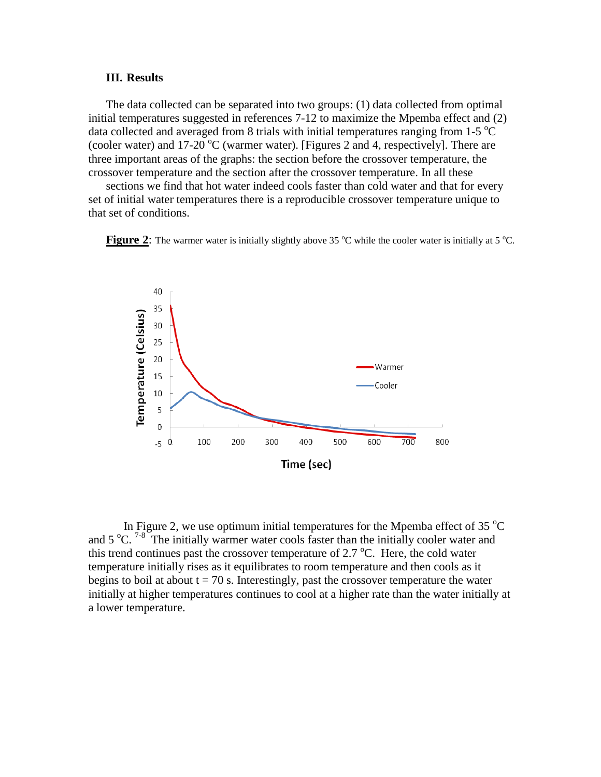#### **III. Results**

The data collected can be separated into two groups: (1) data collected from optimal initial temperatures suggested in references 7-12 to maximize the Mpemba effect and (2) data collected and averaged from 8 trials with initial temperatures ranging from  $1-5$  °C (cooler water) and 17-20  $^{\circ}$ C (warmer water). [Figures 2 and 4, respectively]. There are three important areas of the graphs: the section before the crossover temperature, the crossover temperature and the section after the crossover temperature. In all these

sections we find that hot water indeed cools faster than cold water and that for every set of initial water temperatures there is a reproducible crossover temperature unique to that set of conditions.





In Figure 2, we use optimum initial temperatures for the Mpemba effect of 35 $\degree$ C and  $5^{\circ}$ C. <sup>7-8</sup> The initially warmer water cools faster than the initially cooler water and this trend continues past the crossover temperature of 2.7  $^{\circ}$ C. Here, the cold water temperature initially rises as it equilibrates to room temperature and then cools as it begins to boil at about  $t = 70$  s. Interestingly, past the crossover temperature the water initially at higher temperatures continues to cool at a higher rate than the water initially at a lower temperature.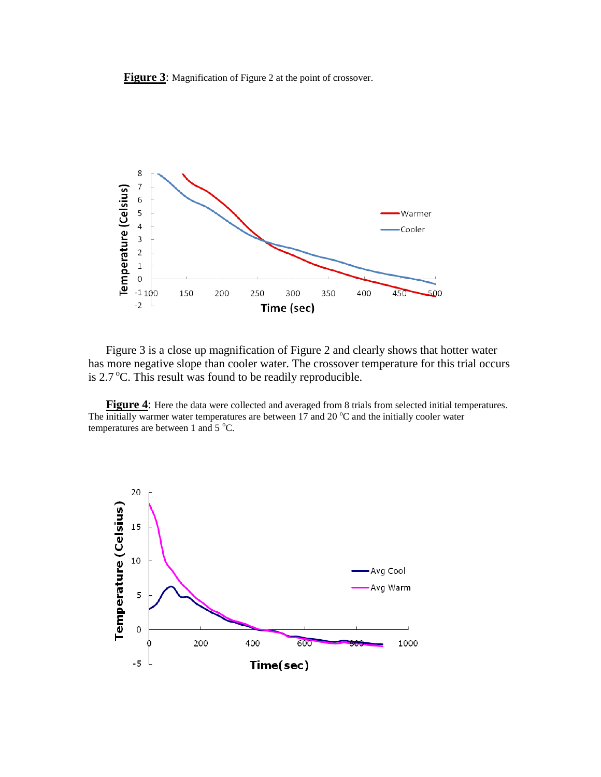**Figure 3**: Magnification of Figure 2 at the point of crossover.



Figure 3 is a close up magnification of Figure 2 and clearly shows that hotter water has more negative slope than cooler water. The crossover temperature for this trial occurs is  $2.7 \degree$ C. This result was found to be readily reproducible.

**Figure 4**: Here the data were collected and averaged from 8 trials from selected initial temperatures. The initially warmer water temperatures are between 17 and 20  $^{\circ}$ C and the initially cooler water temperatures are between 1 and 5  $^{\circ}$ C.

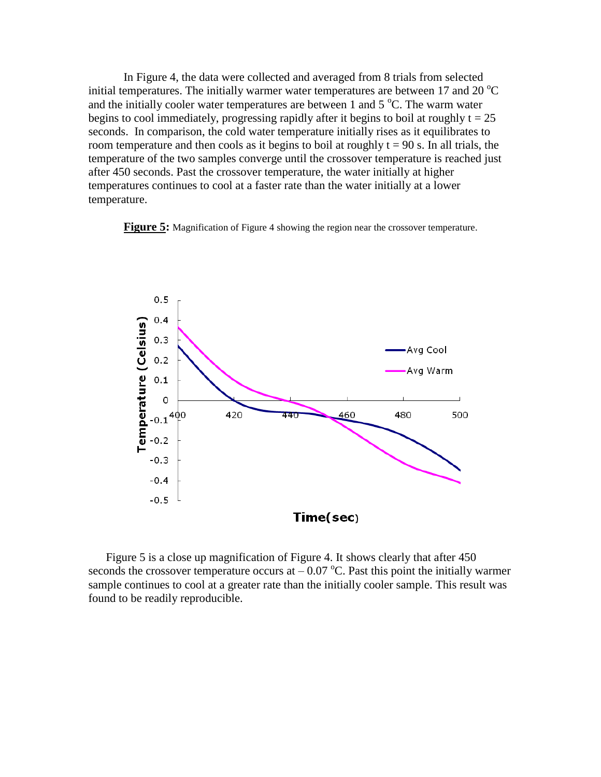In Figure 4, the data were collected and averaged from 8 trials from selected initial temperatures. The initially warmer water temperatures are between 17 and 20  $^{\circ}$ C and the initially cooler water temperatures are between 1 and  $5^{\circ}$ C. The warm water begins to cool immediately, progressing rapidly after it begins to boil at roughly  $t = 25$ seconds. In comparison, the cold water temperature initially rises as it equilibrates to room temperature and then cools as it begins to boil at roughly  $t = 90$  s. In all trials, the temperature of the two samples converge until the crossover temperature is reached just after 450 seconds. Past the crossover temperature, the water initially at higher temperatures continues to cool at a faster rate than the water initially at a lower temperature.

**Figure 5:** Magnification of Figure 4 showing the region near the crossover temperature.



Figure 5 is a close up magnification of Figure 4. It shows clearly that after 450 seconds the crossover temperature occurs at  $-0.07$  °C. Past this point the initially warmer sample continues to cool at a greater rate than the initially cooler sample. This result was found to be readily reproducible.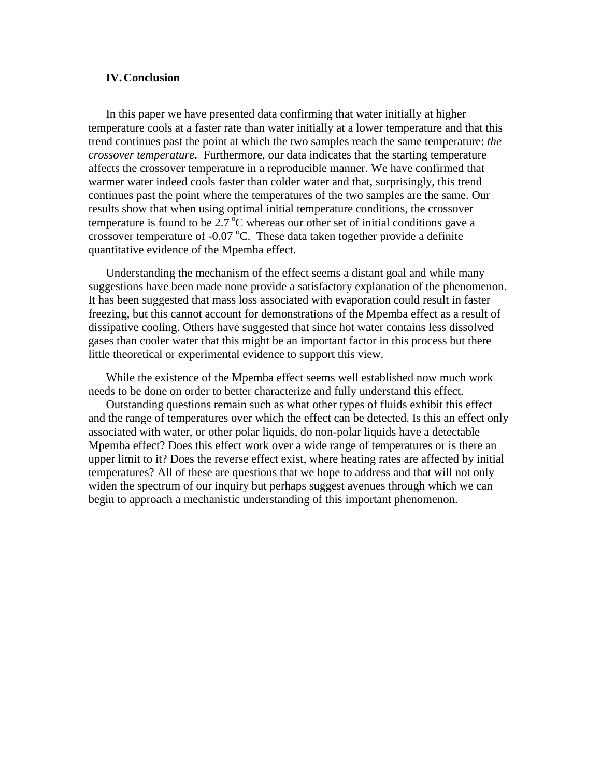### **IV.Conclusion**

In this paper we have presented data confirming that water initially at higher temperature cools at a faster rate than water initially at a lower temperature and that this trend continues past the point at which the two samples reach the same temperature: *the crossover temperature*. Furthermore, our data indicates that the starting temperature affects the crossover temperature in a reproducible manner. We have confirmed that warmer water indeed cools faster than colder water and that, surprisingly, this trend continues past the point where the temperatures of the two samples are the same. Our results show that when using optimal initial temperature conditions, the crossover temperature is found to be  $2.7 \degree C$  whereas our other set of initial conditions gave a crossover temperature of -0.07  $^{\circ}$ C. These data taken together provide a definite quantitative evidence of the Mpemba effect.

Understanding the mechanism of the effect seems a distant goal and while many suggestions have been made none provide a satisfactory explanation of the phenomenon. It has been suggested that mass loss associated with evaporation could result in faster freezing, but this cannot account for demonstrations of the Mpemba effect as a result of dissipative cooling. Others have suggested that since hot water contains less dissolved gases than cooler water that this might be an important factor in this process but there little theoretical or experimental evidence to support this view.

While the existence of the Mpemba effect seems well established now much work needs to be done on order to better characterize and fully understand this effect.

Outstanding questions remain such as what other types of fluids exhibit this effect and the range of temperatures over which the effect can be detected. Is this an effect only associated with water, or other polar liquids, do non-polar liquids have a detectable Mpemba effect? Does this effect work over a wide range of temperatures or is there an upper limit to it? Does the reverse effect exist, where heating rates are affected by initial temperatures? All of these are questions that we hope to address and that will not only widen the spectrum of our inquiry but perhaps suggest avenues through which we can begin to approach a mechanistic understanding of this important phenomenon.